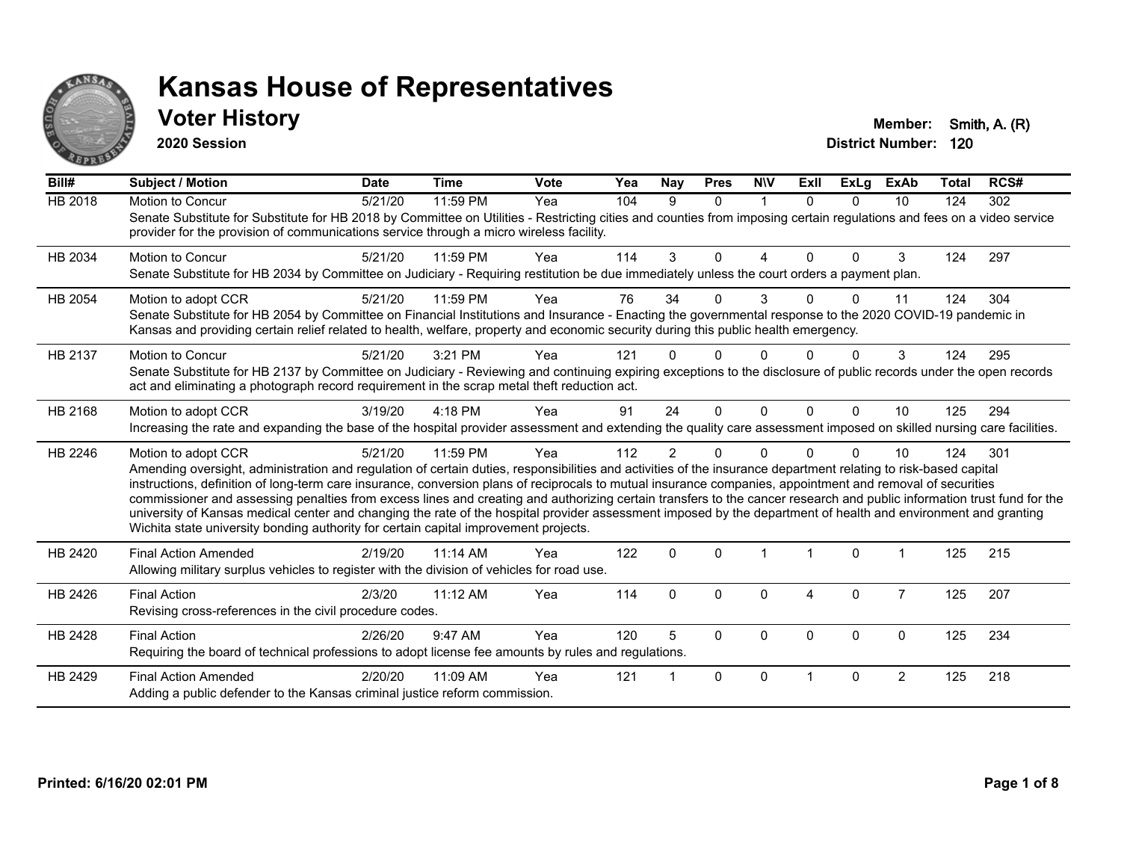

### **Voter History Member: Smith, A. (R)**

**2020 Session**

| Bill#          | Subject / Motion                                                                                                                                                                                                                                                                                                                                                                                                                                                                                                                                                                                                                                                                                                                                                                         | <b>Date</b> | <b>Time</b> | Vote | Yea | <b>Nay</b>     | <b>Pres</b>  | <b>NIV</b>   | <b>ExII</b>          | ExLg     | <b>ExAb</b>    | <b>Total</b> | RCS# |
|----------------|------------------------------------------------------------------------------------------------------------------------------------------------------------------------------------------------------------------------------------------------------------------------------------------------------------------------------------------------------------------------------------------------------------------------------------------------------------------------------------------------------------------------------------------------------------------------------------------------------------------------------------------------------------------------------------------------------------------------------------------------------------------------------------------|-------------|-------------|------|-----|----------------|--------------|--------------|----------------------|----------|----------------|--------------|------|
| <b>HB 2018</b> | Motion to Concur<br>Senate Substitute for Substitute for HB 2018 by Committee on Utilities - Restricting cities and counties from imposing certain regulations and fees on a video service<br>provider for the provision of communications service through a micro wireless facility.                                                                                                                                                                                                                                                                                                                                                                                                                                                                                                    | 5/21/20     | 11:59 PM    | Yea  | 104 | 9              | $\Omega$     | $\mathbf 1$  | $\Omega$             | $\Omega$ | 10             | 124          | 302  |
| HB 2034        | Motion to Concur<br>Senate Substitute for HB 2034 by Committee on Judiciary - Requiring restitution be due immediately unless the court orders a payment plan.                                                                                                                                                                                                                                                                                                                                                                                                                                                                                                                                                                                                                           | 5/21/20     | 11:59 PM    | Yea  | 114 | 3              | $\Omega$     | 4            | $\Omega$             | $\Omega$ | 3              | 124          | 297  |
| HB 2054        | Motion to adopt CCR<br>Senate Substitute for HB 2054 by Committee on Financial Institutions and Insurance - Enacting the governmental response to the 2020 COVID-19 pandemic in<br>Kansas and providing certain relief related to health, welfare, property and economic security during this public health emergency.                                                                                                                                                                                                                                                                                                                                                                                                                                                                   | 5/21/20     | 11:59 PM    | Yea  | 76  | 34             | $\Omega$     | 3            | U.                   | 0        | 11             | 124          | 304  |
| HB 2137        | Motion to Concur<br>Senate Substitute for HB 2137 by Committee on Judiciary - Reviewing and continuing expiring exceptions to the disclosure of public records under the open records<br>act and eliminating a photograph record requirement in the scrap metal theft reduction act.                                                                                                                                                                                                                                                                                                                                                                                                                                                                                                     | 5/21/20     | 3:21 PM     | Yea  | 121 |                | <sup>0</sup> | <sup>n</sup> |                      |          | 3              | 124          | 295  |
| HB 2168        | Motion to adopt CCR<br>Increasing the rate and expanding the base of the hospital provider assessment and extending the quality care assessment imposed on skilled nursing care facilities.                                                                                                                                                                                                                                                                                                                                                                                                                                                                                                                                                                                              | 3/19/20     | $4:18$ PM   | Yea  | 91  | 24             | $\Omega$     | $\Omega$     | $\Omega$             | $\Omega$ | 10             | 125          | 294  |
| HB 2246        | Motion to adopt CCR<br>Amending oversight, administration and regulation of certain duties, responsibilities and activities of the insurance department relating to risk-based capital<br>instructions, definition of long-term care insurance, conversion plans of reciprocals to mutual insurance companies, appointment and removal of securities<br>commissioner and assessing penalties from excess lines and creating and authorizing certain transfers to the cancer research and public information trust fund for the<br>university of Kansas medical center and changing the rate of the hospital provider assessment imposed by the department of health and environment and granting<br>Wichita state university bonding authority for certain capital improvement projects. | 5/21/20     | 11:59 PM    | Yea  | 112 | $\overline{2}$ | $\Omega$     | $\Omega$     |                      | $\Omega$ | 10             | 124          | 301  |
| HB 2420        | <b>Final Action Amended</b><br>Allowing military surplus vehicles to register with the division of vehicles for road use.                                                                                                                                                                                                                                                                                                                                                                                                                                                                                                                                                                                                                                                                | 2/19/20     | 11:14 AM    | Yea  | 122 | $\Omega$       | $\Omega$     |              | $\blacktriangleleft$ | $\Omega$ |                | 125          | 215  |
| HB 2426        | <b>Final Action</b><br>Revising cross-references in the civil procedure codes.                                                                                                                                                                                                                                                                                                                                                                                                                                                                                                                                                                                                                                                                                                           | 2/3/20      | 11:12 AM    | Yea  | 114 | $\mathbf{0}$   | $\mathbf{0}$ | $\Omega$     | 4                    | $\Omega$ | $\overline{7}$ | 125          | 207  |
| HB 2428        | <b>Final Action</b><br>Requiring the board of technical professions to adopt license fee amounts by rules and regulations.                                                                                                                                                                                                                                                                                                                                                                                                                                                                                                                                                                                                                                                               | 2/26/20     | 9:47 AM     | Yea  | 120 | 5              | $\Omega$     | $\Omega$     | $\Omega$             | $\Omega$ | $\mathbf{0}$   | 125          | 234  |
| HB 2429        | <b>Final Action Amended</b><br>Adding a public defender to the Kansas criminal justice reform commission.                                                                                                                                                                                                                                                                                                                                                                                                                                                                                                                                                                                                                                                                                | 2/20/20     | 11:09 AM    | Yea  | 121 |                | $\mathbf{0}$ | $\Omega$     |                      | $\Omega$ | $\overline{2}$ | 125          | 218  |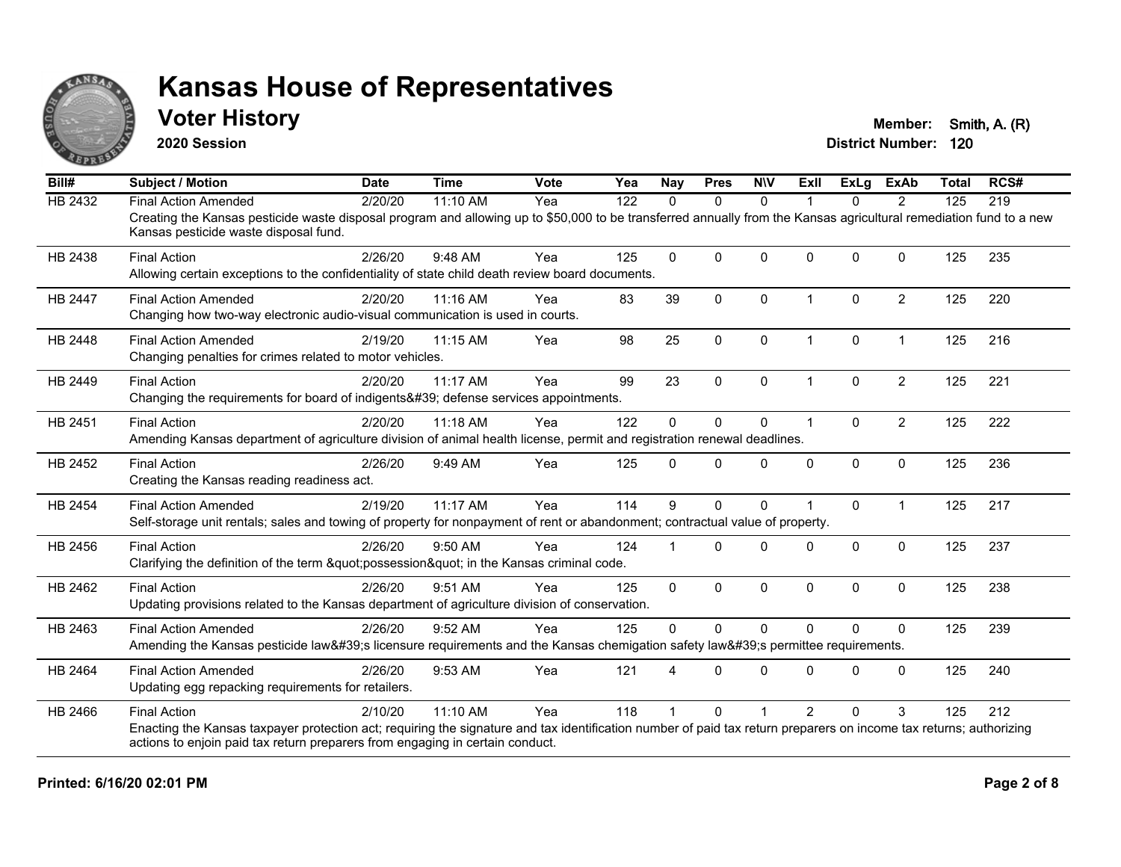

### **Voter History Member: Smith, A. (R)**

**2020 Session**

| Bill#          | <b>Subject / Motion</b>                                                                                                                                                                                                                                                    | <b>Date</b> | <b>Time</b> | <b>Vote</b> | Yea | <b>Nay</b> | <b>Pres</b>  | <b>NIV</b>   | Exll                 | ExLg         | <b>ExAb</b>    | <b>Total</b> | RCS# |
|----------------|----------------------------------------------------------------------------------------------------------------------------------------------------------------------------------------------------------------------------------------------------------------------------|-------------|-------------|-------------|-----|------------|--------------|--------------|----------------------|--------------|----------------|--------------|------|
| <b>HB 2432</b> | <b>Final Action Amended</b>                                                                                                                                                                                                                                                | 2/20/20     | 11:10 AM    | Yea         | 122 | $\Omega$   | $\mathbf{0}$ | $\mathbf{0}$ | 1                    | $\Omega$     | 2              | 125          | 219  |
|                | Creating the Kansas pesticide waste disposal program and allowing up to \$50,000 to be transferred annually from the Kansas agricultural remediation fund to a new<br>Kansas pesticide waste disposal fund.                                                                |             |             |             |     |            |              |              |                      |              |                |              |      |
| HB 2438        | <b>Final Action</b><br>Allowing certain exceptions to the confidentiality of state child death review board documents.                                                                                                                                                     | 2/26/20     | 9:48 AM     | Yea         | 125 | $\Omega$   | $\mathbf{0}$ | $\Omega$     | $\Omega$             | $\Omega$     | $\mathbf{0}$   | 125          | 235  |
| <b>HB 2447</b> | <b>Final Action Amended</b><br>Changing how two-way electronic audio-visual communication is used in courts.                                                                                                                                                               | 2/20/20     | 11:16 AM    | Yea         | 83  | 39         | $\mathbf{0}$ | $\mathbf 0$  | $\blacktriangleleft$ | $\mathbf{0}$ | $\overline{2}$ | 125          | 220  |
| HB 2448        | <b>Final Action Amended</b><br>Changing penalties for crimes related to motor vehicles.                                                                                                                                                                                    | 2/19/20     | 11:15 AM    | Yea         | 98  | 25         | $\mathbf 0$  | $\mathbf 0$  | $\mathbf{1}$         | 0            | $\mathbf{1}$   | 125          | 216  |
| HB 2449        | <b>Final Action</b><br>Changing the requirements for board of indigents' defense services appointments.                                                                                                                                                                    | 2/20/20     | $11:17$ AM  | Yea         | 99  | 23         | $\mathbf{0}$ | $\mathbf{0}$ | 1                    | $\Omega$     | $\overline{2}$ | 125          | 221  |
| HB 2451        | <b>Final Action</b><br>Amending Kansas department of agriculture division of animal health license, permit and registration renewal deadlines.                                                                                                                             | 2/20/20     | 11:18 AM    | Yea         | 122 | 0          | $\mathbf{0}$ | 0            | $\blacktriangleleft$ | $\Omega$     | $\overline{2}$ | 125          | 222  |
| HB 2452        | <b>Final Action</b><br>Creating the Kansas reading readiness act.                                                                                                                                                                                                          | 2/26/20     | 9:49 AM     | Yea         | 125 | $\Omega$   | $\Omega$     | $\Omega$     | $\Omega$             | $\Omega$     | $\mathbf 0$    | 125          | 236  |
| HB 2454        | <b>Final Action Amended</b><br>Self-storage unit rentals; sales and towing of property for nonpayment of rent or abandonment; contractual value of property.                                                                                                               | 2/19/20     | 11:17 AM    | Yea         | 114 | 9          | $\mathbf{0}$ | $\Omega$     |                      | $\Omega$     | $\mathbf{1}$   | 125          | 217  |
| HB 2456        | <b>Final Action</b><br>Clarifying the definition of the term "possession" in the Kansas criminal code.                                                                                                                                                                     | 2/26/20     | 9:50 AM     | Yea         | 124 |            | $\Omega$     | $\Omega$     | $\Omega$             | $\Omega$     | $\mathbf{0}$   | 125          | 237  |
| HB 2462        | <b>Final Action</b><br>Updating provisions related to the Kansas department of agriculture division of conservation.                                                                                                                                                       | 2/26/20     | 9:51 AM     | Yea         | 125 | $\Omega$   | $\mathbf{0}$ | $\Omega$     | $\mathbf{0}$         | $\Omega$     | $\mathbf{0}$   | 125          | 238  |
| HB 2463        | <b>Final Action Amended</b><br>Amending the Kansas pesticide law's licensure requirements and the Kansas chemigation safety law's permittee requirements.                                                                                                                  | 2/26/20     | 9:52 AM     | Yea         | 125 | $\Omega$   | $\Omega$     | $\Omega$     | $\Omega$             | $\Omega$     | $\Omega$       | 125          | 239  |
| HB 2464        | <b>Final Action Amended</b><br>Updating egg repacking requirements for retailers.                                                                                                                                                                                          | 2/26/20     | 9:53 AM     | Yea         | 121 |            | $\Omega$     | $\Omega$     | $\Omega$             | $\Omega$     | $\Omega$       | 125          | 240  |
| HB 2466        | <b>Final Action</b><br>Enacting the Kansas taxpayer protection act; requiring the signature and tax identification number of paid tax return preparers on income tax returns; authorizing<br>actions to enjoin paid tax return preparers from engaging in certain conduct. | 2/10/20     | 11:10 AM    | Yea         | 118 |            | $\Omega$     |              | $\mathcal{P}$        | $\Omega$     | 3              | 125          | 212  |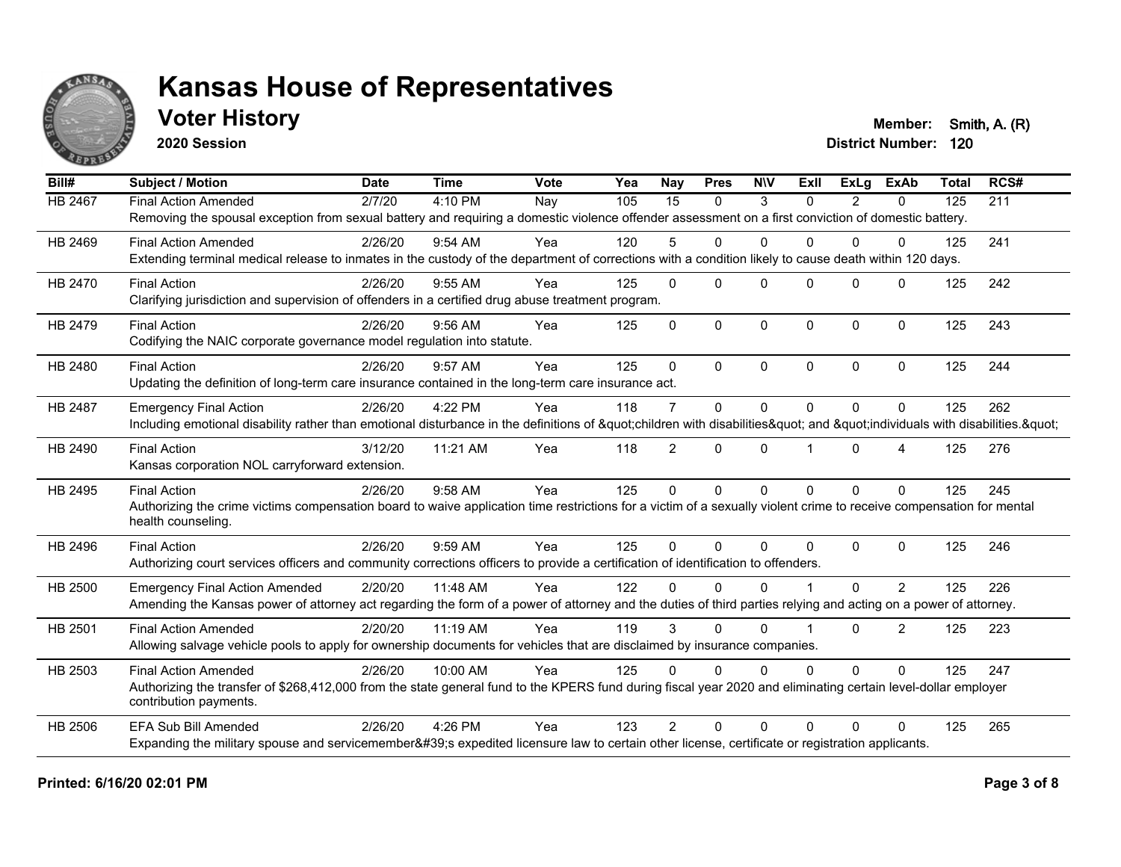

**2020 Session**

**Voter History Member: Smith, A. (R)** 

| Bill#   | <b>Subject / Motion</b>                                                                                                                                             | <b>Date</b> | <b>Time</b> | Vote | Yea | <b>Nay</b>     | <b>Pres</b>  | <b>NIV</b>  | ExII     | ExLa           | <b>ExAb</b>    | <b>Total</b> | RCS# |
|---------|---------------------------------------------------------------------------------------------------------------------------------------------------------------------|-------------|-------------|------|-----|----------------|--------------|-------------|----------|----------------|----------------|--------------|------|
| HB 2467 | <b>Final Action Amended</b>                                                                                                                                         | 2/7/20      | 4:10 PM     | Nay  | 105 | 15             | $\mathbf{0}$ | 3           | $\Omega$ | $\overline{2}$ | $\mathbf{0}$   | 125          | 211  |
|         | Removing the spousal exception from sexual battery and requiring a domestic violence offender assessment on a first conviction of domestic battery.                 |             |             |      |     |                |              |             |          |                |                |              |      |
| HB 2469 | <b>Final Action Amended</b>                                                                                                                                         | 2/26/20     | 9:54 AM     | Yea  | 120 | 5              | $\mathbf 0$  | $\Omega$    | $\Omega$ | $\Omega$       | 0              | 125          | 241  |
|         | Extending terminal medical release to inmates in the custody of the department of corrections with a condition likely to cause death within 120 days.               |             |             |      |     |                |              |             |          |                |                |              |      |
| HB 2470 | <b>Final Action</b>                                                                                                                                                 | 2/26/20     | $9:55$ AM   | Yea  | 125 | $\Omega$       | $\Omega$     | $\Omega$    | $\Omega$ | $\Omega$       | $\Omega$       | 125          | 242  |
|         | Clarifying jurisdiction and supervision of offenders in a certified drug abuse treatment program.                                                                   |             |             |      |     |                |              |             |          |                |                |              |      |
| HB 2479 | <b>Final Action</b>                                                                                                                                                 | 2/26/20     | $9:56$ AM   | Yea  | 125 | $\mathbf{0}$   | $\mathbf 0$  | $\Omega$    | $\Omega$ | $\Omega$       | $\mathbf 0$    | 125          | 243  |
|         | Codifying the NAIC corporate governance model regulation into statute.                                                                                              |             |             |      |     |                |              |             |          |                |                |              |      |
| HB 2480 | <b>Final Action</b>                                                                                                                                                 | 2/26/20     | 9:57 AM     | Yea  | 125 | $\Omega$       | $\Omega$     | $\Omega$    | $\Omega$ | $\Omega$       | $\mathbf{0}$   | 125          | 244  |
|         | Updating the definition of long-term care insurance contained in the long-term care insurance act.                                                                  |             |             |      |     |                |              |             |          |                |                |              |      |
| HB 2487 | <b>Emergency Final Action</b>                                                                                                                                       | 2/26/20     | 4:22 PM     | Yea  | 118 | $\overline{7}$ | $\mathbf{0}$ | $\mathbf 0$ | $\Omega$ | $\Omega$       | $\Omega$       | 125          | 262  |
|         | Including emotional disability rather than emotional disturbance in the definitions of "children with disabilities" and "individuals with disabilities. "           |             |             |      |     |                |              |             |          |                |                |              |      |
| HB 2490 | <b>Final Action</b>                                                                                                                                                 | 3/12/20     | 11:21 AM    | Yea  | 118 | $\overline{2}$ | $\mathbf{0}$ | $\Omega$    |          | $\Omega$       | 4              | 125          | 276  |
|         | Kansas corporation NOL carryforward extension.                                                                                                                      |             |             |      |     |                |              |             |          |                |                |              |      |
| HB 2495 | <b>Final Action</b>                                                                                                                                                 | 2/26/20     | 9:58 AM     | Yea  | 125 | $\Omega$       | $\mathbf{0}$ | $\Omega$    | $\Omega$ | $\Omega$       | $\Omega$       | 125          | 245  |
|         | Authorizing the crime victims compensation board to waive application time restrictions for a victim of a sexually violent crime to receive compensation for mental |             |             |      |     |                |              |             |          |                |                |              |      |
|         | health counseling.                                                                                                                                                  |             |             |      |     |                |              |             |          |                |                |              |      |
| HB 2496 | <b>Final Action</b>                                                                                                                                                 | 2/26/20     | 9:59 AM     | Yea  | 125 | $\Omega$       | $\Omega$     | $\Omega$    | $\Omega$ | $\Omega$       | $\Omega$       | 125          | 246  |
|         | Authorizing court services officers and community corrections officers to provide a certification of identification to offenders.                                   |             |             |      |     |                |              |             |          |                |                |              |      |
| HB 2500 | <b>Emergency Final Action Amended</b>                                                                                                                               | 2/20/20     | 11:48 AM    | Yea  | 122 | $\Omega$       | $\Omega$     | $\Omega$    |          | $\Omega$       | $\overline{2}$ | 125          | 226  |
|         | Amending the Kansas power of attorney act regarding the form of a power of attorney and the duties of third parties relying and acting on a power of attorney.      |             |             |      |     |                |              |             |          |                |                |              |      |
| HB 2501 | <b>Final Action Amended</b>                                                                                                                                         | 2/20/20     | 11:19 AM    | Yea  | 119 | 3              | $\Omega$     | $\Omega$    |          | $\Omega$       | $\overline{2}$ | 125          | 223  |
|         | Allowing salvage vehicle pools to apply for ownership documents for vehicles that are disclaimed by insurance companies.                                            |             |             |      |     |                |              |             |          |                |                |              |      |
| HB 2503 | <b>Final Action Amended</b>                                                                                                                                         | 2/26/20     | 10:00 AM    | Yea  | 125 | $\Omega$       | $\Omega$     | $\Omega$    | $\Omega$ | $\Omega$       | $\Omega$       | 125          | 247  |
|         | Authorizing the transfer of \$268,412,000 from the state general fund to the KPERS fund during fiscal year 2020 and eliminating certain level-dollar employer       |             |             |      |     |                |              |             |          |                |                |              |      |
|         | contribution payments.                                                                                                                                              |             |             |      |     |                |              |             |          |                |                |              |      |
| HB 2506 | <b>EFA Sub Bill Amended</b>                                                                                                                                         | 2/26/20     | 4:26 PM     | Yea  | 123 | $\mathcal{P}$  | $\Omega$     | $\Omega$    | $\Omega$ | $\Omega$       | $\Omega$       | 125          | 265  |
|         | Expanding the military spouse and servicemember's expedited licensure law to certain other license, certificate or registration applicants.                         |             |             |      |     |                |              |             |          |                |                |              |      |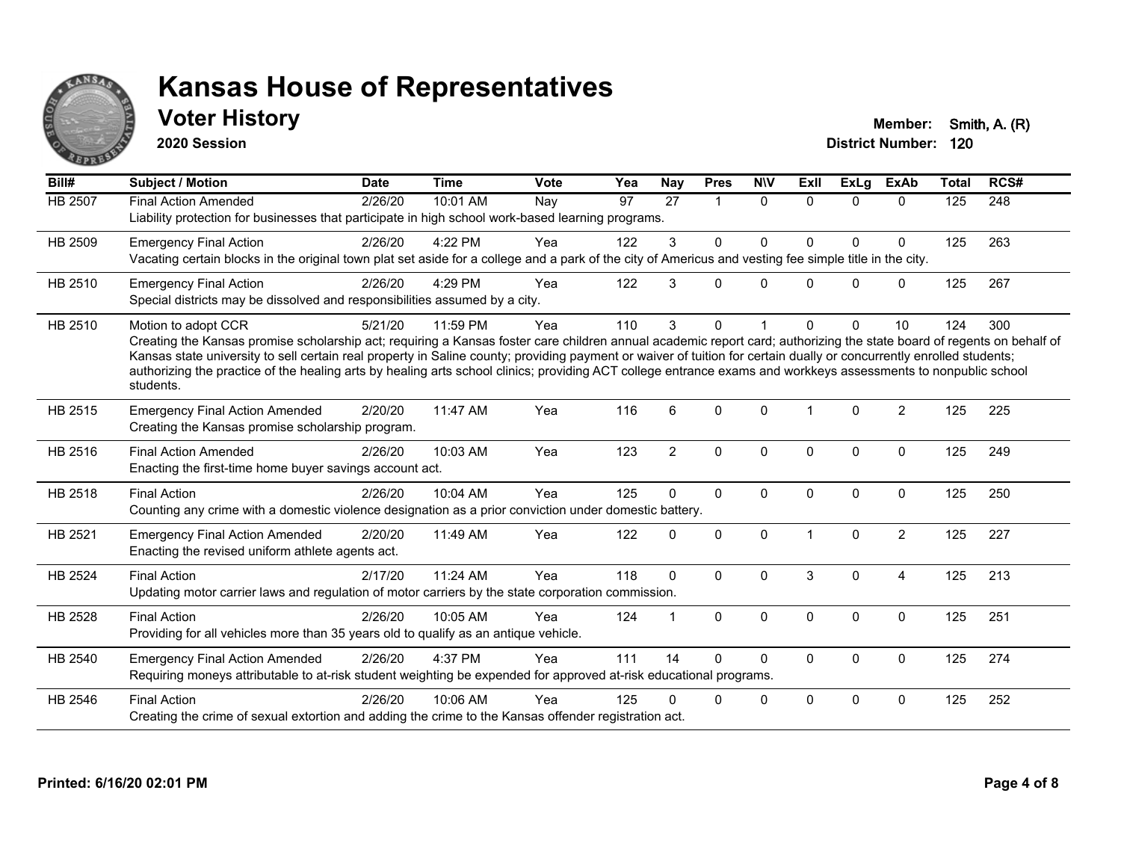

### **Voter History Member: Smith, A. (R)**

**2020 Session**

| Bill#   | Subject / Motion                                                                                                                                                                                                                                                                                                                                                                                                                                                                                                                                    | <b>Date</b> | <b>Time</b> | <b>Vote</b> | Yea | Nay            | <b>Pres</b>          | <b>NIV</b>   | <b>ExII</b> | ExLg         | <b>ExAb</b>    | <b>Total</b> | RCS# |
|---------|-----------------------------------------------------------------------------------------------------------------------------------------------------------------------------------------------------------------------------------------------------------------------------------------------------------------------------------------------------------------------------------------------------------------------------------------------------------------------------------------------------------------------------------------------------|-------------|-------------|-------------|-----|----------------|----------------------|--------------|-------------|--------------|----------------|--------------|------|
| HB 2507 | <b>Final Action Amended</b><br>Liability protection for businesses that participate in high school work-based learning programs.                                                                                                                                                                                                                                                                                                                                                                                                                    | 2/26/20     | 10:01 AM    | Nay         | 97  | 27             | $\blacktriangleleft$ | $\Omega$     | $\Omega$    | $\Omega$     | $\Omega$       | 125          | 248  |
| HB 2509 | <b>Emergency Final Action</b><br>Vacating certain blocks in the original town plat set aside for a college and a park of the city of Americus and vesting fee simple title in the city.                                                                                                                                                                                                                                                                                                                                                             | 2/26/20     | 4:22 PM     | Yea         | 122 | 3              | $\mathbf{0}$         | $\Omega$     | $\Omega$    | $\Omega$     | $\Omega$       | 125          | 263  |
| HB 2510 | <b>Emergency Final Action</b><br>Special districts may be dissolved and responsibilities assumed by a city.                                                                                                                                                                                                                                                                                                                                                                                                                                         | 2/26/20     | 4:29 PM     | Yea         | 122 | 3              | $\Omega$             | $\Omega$     | U           | $\Omega$     | $\mathbf 0$    | 125          | 267  |
| HB 2510 | Motion to adopt CCR<br>Creating the Kansas promise scholarship act; requiring a Kansas foster care children annual academic report card; authorizing the state board of regents on behalf of<br>Kansas state university to sell certain real property in Saline county; providing payment or waiver of tuition for certain dually or concurrently enrolled students;<br>authorizing the practice of the healing arts by healing arts school clinics; providing ACT college entrance exams and workkeys assessments to nonpublic school<br>students. | 5/21/20     | 11:59 PM    | Yea         | 110 | 3              | $\Omega$             |              | U           | $\Omega$     | 10             | 124          | 300  |
| HB 2515 | <b>Emergency Final Action Amended</b><br>Creating the Kansas promise scholarship program.                                                                                                                                                                                                                                                                                                                                                                                                                                                           | 2/20/20     | 11:47 AM    | Yea         | 116 | 6              | $\Omega$             | $\Omega$     | 1           | $\Omega$     | $\overline{2}$ | 125          | 225  |
| HB 2516 | <b>Final Action Amended</b><br>Enacting the first-time home buyer savings account act.                                                                                                                                                                                                                                                                                                                                                                                                                                                              | 2/26/20     | 10:03 AM    | Yea         | 123 | $\overline{2}$ | $\mathbf{0}$         | $\Omega$     | $\Omega$    | $\Omega$     | $\mathbf 0$    | 125          | 249  |
| HB 2518 | <b>Final Action</b><br>Counting any crime with a domestic violence designation as a prior conviction under domestic battery.                                                                                                                                                                                                                                                                                                                                                                                                                        | 2/26/20     | 10:04 AM    | Yea         | 125 | $\Omega$       | $\mathbf{0}$         | $\Omega$     | $\Omega$    | $\Omega$     | $\Omega$       | 125          | 250  |
| HB 2521 | <b>Emergency Final Action Amended</b><br>Enacting the revised uniform athlete agents act.                                                                                                                                                                                                                                                                                                                                                                                                                                                           | 2/20/20     | 11:49 AM    | Yea         | 122 | $\Omega$       | $\mathbf 0$          | $\mathbf 0$  |             | $\mathbf{0}$ | $\overline{2}$ | 125          | 227  |
| HB 2524 | <b>Final Action</b><br>Updating motor carrier laws and regulation of motor carriers by the state corporation commission.                                                                                                                                                                                                                                                                                                                                                                                                                            | 2/17/20     | 11:24 AM    | Yea         | 118 | $\Omega$       | $\Omega$             | $\Omega$     | 3           | $\Omega$     | $\overline{4}$ | 125          | 213  |
| HB 2528 | <b>Final Action</b><br>Providing for all vehicles more than 35 years old to qualify as an antique vehicle.                                                                                                                                                                                                                                                                                                                                                                                                                                          | 2/26/20     | 10:05 AM    | Yea         | 124 | 1              | $\mathbf{0}$         | $\mathbf{0}$ | $\Omega$    | $\Omega$     | $\mathbf{0}$   | 125          | 251  |
| HB 2540 | <b>Emergency Final Action Amended</b><br>Requiring moneys attributable to at-risk student weighting be expended for approved at-risk educational programs.                                                                                                                                                                                                                                                                                                                                                                                          | 2/26/20     | 4:37 PM     | Yea         | 111 | 14             | $\Omega$             | $\Omega$     | 0           | $\mathbf 0$  | $\mathbf 0$    | 125          | 274  |
| HB 2546 | <b>Final Action</b><br>Creating the crime of sexual extortion and adding the crime to the Kansas offender registration act.                                                                                                                                                                                                                                                                                                                                                                                                                         | 2/26/20     | 10:06 AM    | Yea         | 125 | 0              | 0                    | $\mathbf 0$  | $\Omega$    | $\Omega$     | $\mathbf 0$    | 125          | 252  |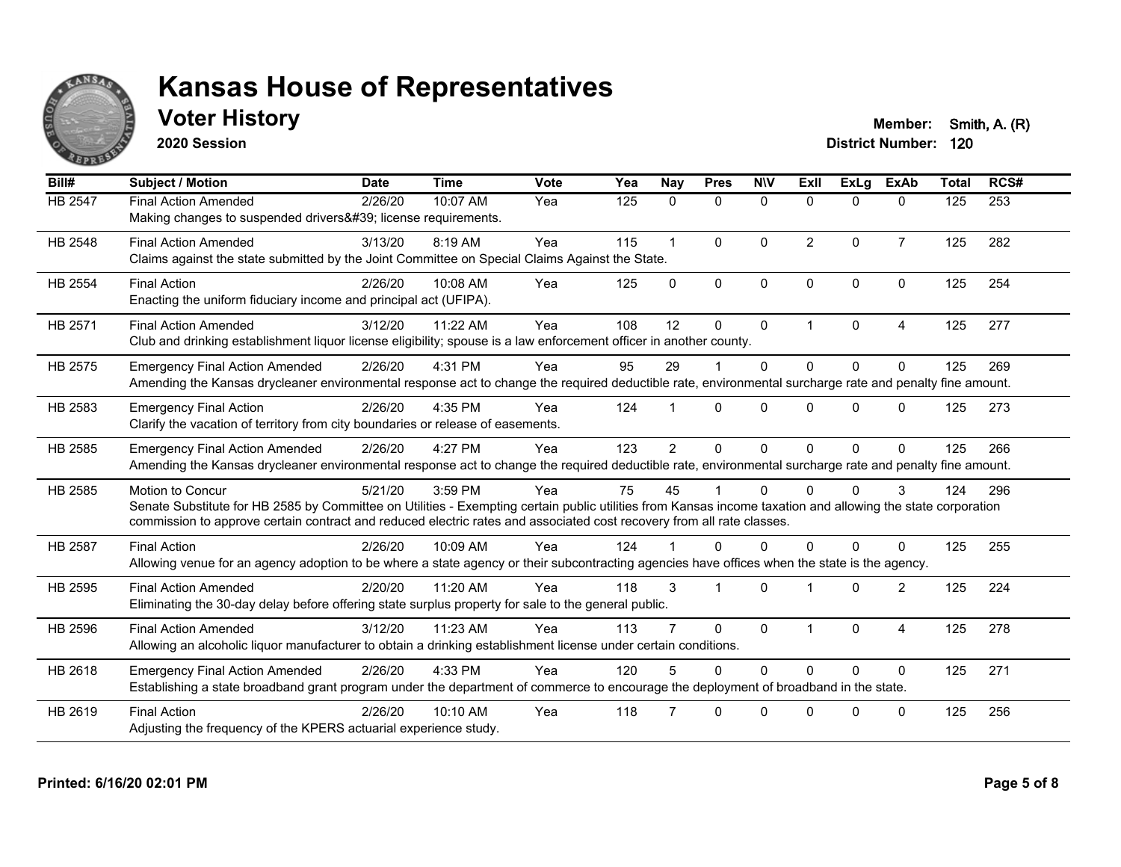

**2020 Session**

**Voter History Member: Smith, A. (R)** 

| Bill#          | <b>Subject / Motion</b>                                                                                                                                                                                                                                                                                         | <b>Date</b> | <b>Time</b> | Vote | Yea | <b>Nay</b>     | <b>Pres</b>  | <b>NIV</b>   | <b>Exll</b>    | ExLg         | <b>ExAb</b>    | <b>Total</b> | RCS# |
|----------------|-----------------------------------------------------------------------------------------------------------------------------------------------------------------------------------------------------------------------------------------------------------------------------------------------------------------|-------------|-------------|------|-----|----------------|--------------|--------------|----------------|--------------|----------------|--------------|------|
| HB 2547        | <b>Final Action Amended</b><br>Making changes to suspended drivers' license requirements.                                                                                                                                                                                                                       | 2/26/20     | 10:07 AM    | Yea  | 125 | $\mathbf{0}$   | $\mathbf 0$  | $\mathbf{0}$ | $\mathbf{0}$   | $\Omega$     | $\mathbf{0}$   | 125          | 253  |
| <b>HB 2548</b> | <b>Final Action Amended</b><br>Claims against the state submitted by the Joint Committee on Special Claims Against the State.                                                                                                                                                                                   | 3/13/20     | 8:19 AM     | Yea  | 115 |                | $\Omega$     | $\Omega$     | $\overline{2}$ | $\Omega$     | $\overline{7}$ | 125          | 282  |
| <b>HB 2554</b> | <b>Final Action</b><br>Enacting the uniform fiduciary income and principal act (UFIPA).                                                                                                                                                                                                                         | 2/26/20     | 10:08 AM    | Yea  | 125 | $\Omega$       | $\mathbf{0}$ | $\Omega$     | $\Omega$       | $\Omega$     | $\Omega$       | 125          | 254  |
| HB 2571        | <b>Final Action Amended</b><br>Club and drinking establishment liquor license eligibility; spouse is a law enforcement officer in another county.                                                                                                                                                               | 3/12/20     | 11:22 AM    | Yea  | 108 | 12             | $\Omega$     | $\mathbf{0}$ | 1              | $\mathbf{0}$ | 4              | 125          | 277  |
| HB 2575        | <b>Emergency Final Action Amended</b><br>Amending the Kansas drycleaner environmental response act to change the required deductible rate, environmental surcharge rate and penalty fine amount.                                                                                                                | 2/26/20     | 4:31 PM     | Yea  | 95  | 29             |              | $\Omega$     | $\Omega$       | $\Omega$     | $\Omega$       | 125          | 269  |
| HB 2583        | <b>Emergency Final Action</b><br>Clarify the vacation of territory from city boundaries or release of easements.                                                                                                                                                                                                | 2/26/20     | 4:35 PM     | Yea  | 124 |                | $\Omega$     | $\Omega$     | 0              | $\Omega$     | $\Omega$       | 125          | 273  |
| HB 2585        | <b>Emergency Final Action Amended</b><br>Amending the Kansas drycleaner environmental response act to change the required deductible rate, environmental surcharge rate and penalty fine amount.                                                                                                                | 2/26/20     | 4:27 PM     | Yea  | 123 | $\overline{2}$ | $\Omega$     | $\Omega$     | $\Omega$       | $\Omega$     | $\Omega$       | 125          | 266  |
| HB 2585        | <b>Motion to Concur</b><br>Senate Substitute for HB 2585 by Committee on Utilities - Exempting certain public utilities from Kansas income taxation and allowing the state corporation<br>commission to approve certain contract and reduced electric rates and associated cost recovery from all rate classes. | 5/21/20     | 3:59 PM     | Yea  | 75  | 45             |              | $\Omega$     | 0              | <sup>0</sup> | 3              | 124          | 296  |
| <b>HB 2587</b> | <b>Final Action</b><br>Allowing venue for an agency adoption to be where a state agency or their subcontracting agencies have offices when the state is the agency.                                                                                                                                             | 2/26/20     | 10:09 AM    | Yea  | 124 |                | $\Omega$     | $\Omega$     | 0              | 0            | $\Omega$       | 125          | 255  |
| HB 2595        | <b>Final Action Amended</b><br>Eliminating the 30-day delay before offering state surplus property for sale to the general public.                                                                                                                                                                              | 2/20/20     | 11:20 AM    | Yea  | 118 | 3              |              | $\Omega$     |                | $\Omega$     | $\overline{2}$ | 125          | 224  |
| HB 2596        | <b>Final Action Amended</b><br>Allowing an alcoholic liquor manufacturer to obtain a drinking establishment license under certain conditions.                                                                                                                                                                   | 3/12/20     | 11:23 AM    | Yea  | 113 |                | $\Omega$     | $\Omega$     |                | $\Omega$     | $\overline{4}$ | 125          | 278  |
| HB 2618        | <b>Emergency Final Action Amended</b><br>Establishing a state broadband grant program under the department of commerce to encourage the deployment of broadband in the state.                                                                                                                                   | 2/26/20     | 4:33 PM     | Yea  | 120 |                | $\Omega$     | $\Omega$     | $\Omega$       | $\Omega$     | $\Omega$       | 125          | 271  |
| HB 2619        | <b>Final Action</b><br>Adjusting the frequency of the KPERS actuarial experience study.                                                                                                                                                                                                                         | 2/26/20     | 10:10 AM    | Yea  | 118 |                | $\Omega$     | $\Omega$     | U              | $\Omega$     | $\Omega$       | 125          | 256  |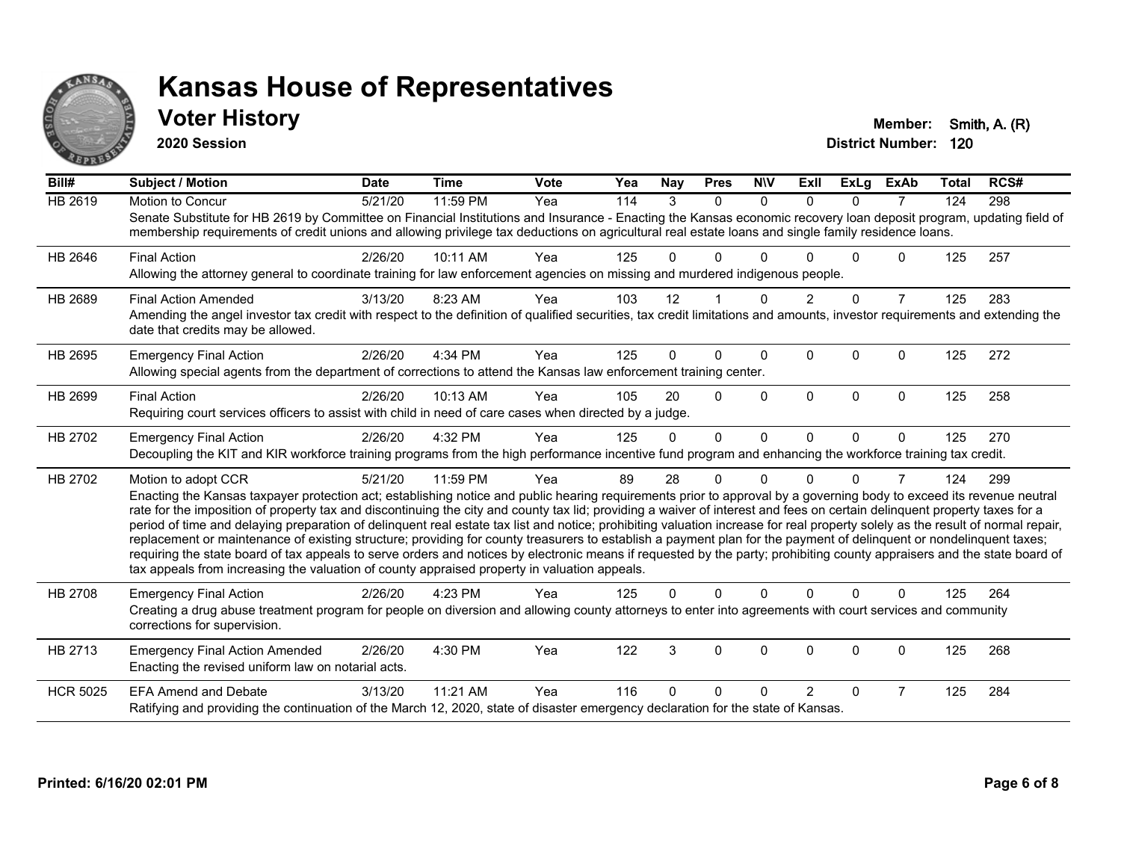

### **Voter History Member: Smith, A. (R)**

**2020 Session**

| Bill#           | <b>Subject / Motion</b>                                                                                                                                                                                                                                                                                                                                                                                                                                                                                                                                                                                                                                                                                                                                                                                                                                                                                                                                                                                       | <b>Date</b> | <b>Time</b> | <b>Vote</b> | Yea | <b>Nay</b> | <b>Pres</b>    | <b>NIV</b>   | ExII           | <b>ExLg</b> | <b>ExAb</b>    | Total | RCS# |
|-----------------|---------------------------------------------------------------------------------------------------------------------------------------------------------------------------------------------------------------------------------------------------------------------------------------------------------------------------------------------------------------------------------------------------------------------------------------------------------------------------------------------------------------------------------------------------------------------------------------------------------------------------------------------------------------------------------------------------------------------------------------------------------------------------------------------------------------------------------------------------------------------------------------------------------------------------------------------------------------------------------------------------------------|-------------|-------------|-------------|-----|------------|----------------|--------------|----------------|-------------|----------------|-------|------|
| HB 2619         | Motion to Concur<br>Senate Substitute for HB 2619 by Committee on Financial Institutions and Insurance - Enacting the Kansas economic recovery loan deposit program, updating field of<br>membership requirements of credit unions and allowing privilege tax deductions on agricultural real estate loans and single family residence loans.                                                                                                                                                                                                                                                                                                                                                                                                                                                                                                                                                                                                                                                                 | 5/21/20     | 11:59 PM    | Yea         | 114 | 3          | $\Omega$       | $\Omega$     | $\Omega$       | $\Omega$    | $\overline{7}$ | 124   | 298  |
| HB 2646         | <b>Final Action</b><br>Allowing the attorney general to coordinate training for law enforcement agencies on missing and murdered indigenous people.                                                                                                                                                                                                                                                                                                                                                                                                                                                                                                                                                                                                                                                                                                                                                                                                                                                           | 2/26/20     | 10:11 AM    | Yea         | 125 | 0          | 0              | <sup>0</sup> |                | U           | 0              | 125   | 257  |
| HB 2689         | <b>Final Action Amended</b><br>Amending the angel investor tax credit with respect to the definition of qualified securities, tax credit limitations and amounts, investor requirements and extending the<br>date that credits may be allowed.                                                                                                                                                                                                                                                                                                                                                                                                                                                                                                                                                                                                                                                                                                                                                                | 3/13/20     | 8:23 AM     | Yea         | 103 | 12         |                | <sup>0</sup> |                | $\Omega$    | $\overline{7}$ | 125   | 283  |
| HB 2695         | <b>Emergency Final Action</b><br>Allowing special agents from the department of corrections to attend the Kansas law enforcement training center.                                                                                                                                                                                                                                                                                                                                                                                                                                                                                                                                                                                                                                                                                                                                                                                                                                                             | 2/26/20     | 4:34 PM     | Yea         | 125 | 0          | $\Omega$       | $\Omega$     | $\Omega$       | $\Omega$    | 0              | 125   | 272  |
| HB 2699         | <b>Final Action</b><br>Requiring court services officers to assist with child in need of care cases when directed by a judge.                                                                                                                                                                                                                                                                                                                                                                                                                                                                                                                                                                                                                                                                                                                                                                                                                                                                                 | 2/26/20     | 10:13 AM    | Yea         | 105 | 20         | $\Omega$       | $\Omega$     | $\Omega$       | $\Omega$    | $\Omega$       | 125   | 258  |
| HB 2702         | <b>Emergency Final Action</b><br>Decoupling the KIT and KIR workforce training programs from the high performance incentive fund program and enhancing the workforce training tax credit.                                                                                                                                                                                                                                                                                                                                                                                                                                                                                                                                                                                                                                                                                                                                                                                                                     | 2/26/20     | 4:32 PM     | Yea         | 125 | $\Omega$   | $\overline{0}$ | $\mathbf{0}$ | $\Omega$       | $\Omega$    | $\Omega$       | 125   | 270  |
| HB 2702         | Motion to adopt CCR<br>Enacting the Kansas taxpayer protection act; establishing notice and public hearing requirements prior to approval by a governing body to exceed its revenue neutral<br>rate for the imposition of property tax and discontinuing the city and county tax lid; providing a waiver of interest and fees on certain delinquent property taxes for a<br>period of time and delaying preparation of delinquent real estate tax list and notice; prohibiting valuation increase for real property solely as the result of normal repair,<br>replacement or maintenance of existing structure; providing for county treasurers to establish a payment plan for the payment of delinquent or nondelinquent taxes;<br>requiring the state board of tax appeals to serve orders and notices by electronic means if requested by the party; prohibiting county appraisers and the state board of<br>tax appeals from increasing the valuation of county appraised property in valuation appeals. | 5/21/20     | 11:59 PM    | Yea         | 89  | 28         | 0              | $\Omega$     | U              | $\Omega$    | 7              | 124   | 299  |
| HB 2708         | <b>Emergency Final Action</b><br>Creating a drug abuse treatment program for people on diversion and allowing county attorneys to enter into agreements with court services and community<br>corrections for supervision.                                                                                                                                                                                                                                                                                                                                                                                                                                                                                                                                                                                                                                                                                                                                                                                     | 2/26/20     | 4:23 PM     | Yea         | 125 | 0          | 0              | $\Omega$     | $\Omega$       | $\Omega$    | $\Omega$       | 125   | 264  |
| HB 2713         | <b>Emergency Final Action Amended</b><br>Enacting the revised uniform law on notarial acts.                                                                                                                                                                                                                                                                                                                                                                                                                                                                                                                                                                                                                                                                                                                                                                                                                                                                                                                   | 2/26/20     | 4:30 PM     | Yea         | 122 | 3          | 0              | $\mathbf 0$  | $\mathbf 0$    | $\mathbf 0$ | 0              | 125   | 268  |
| <b>HCR 5025</b> | <b>EFA Amend and Debate</b><br>Ratifying and providing the continuation of the March 12, 2020, state of disaster emergency declaration for the state of Kansas.                                                                                                                                                                                                                                                                                                                                                                                                                                                                                                                                                                                                                                                                                                                                                                                                                                               | 3/13/20     | 11:21 AM    | Yea         | 116 | 0          | 0              | <sup>0</sup> | $\overline{2}$ | 0           | $\overline{7}$ | 125   | 284  |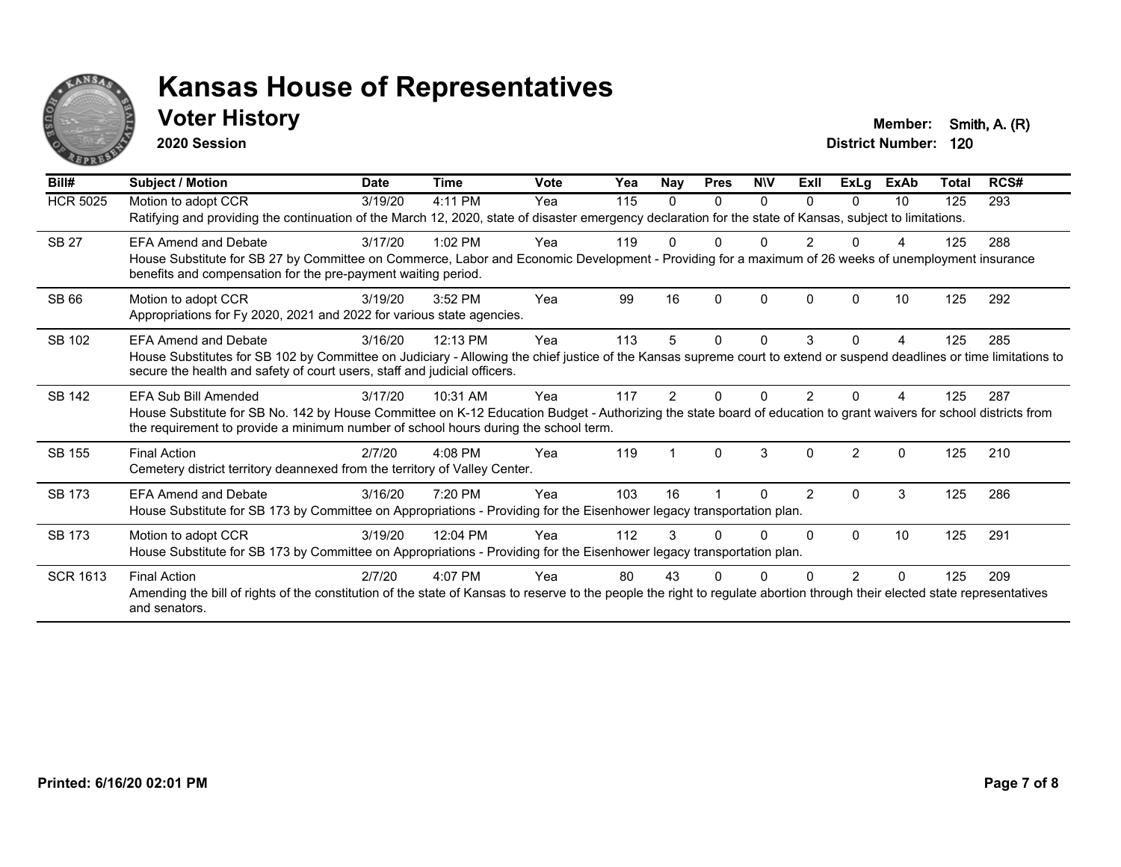

### **Voter History Member: Smith, A. (R)**

**2020 Session**

| Bill#           | <b>Subject / Motion</b>                                                                                                                                                                                                                                                           | <b>Date</b> | <b>Time</b> | <b>Vote</b> | Yea | <b>Nay</b>    | <b>Pres</b> | <b>NIV</b>   | ExII           | <b>ExLg</b>    | <b>ExAb</b> | <b>Total</b> | RCS# |
|-----------------|-----------------------------------------------------------------------------------------------------------------------------------------------------------------------------------------------------------------------------------------------------------------------------------|-------------|-------------|-------------|-----|---------------|-------------|--------------|----------------|----------------|-------------|--------------|------|
| <b>HCR 5025</b> | Motion to adopt CCR<br>Ratifying and providing the continuation of the March 12, 2020, state of disaster emergency declaration for the state of Kansas, subject to limitations.                                                                                                   | 3/19/20     | 4:11 PM     | Yea         | 115 | $\Omega$      | 0           | 0            | <sup>n</sup>   | 0              | 10          | 125          | 293  |
| <b>SB 27</b>    | <b>EFA Amend and Debate</b><br>House Substitute for SB 27 by Committee on Commerce, Labor and Economic Development - Providing for a maximum of 26 weeks of unemployment insurance<br>benefits and compensation for the pre-payment waiting period.                               | 3/17/20     | $1:02$ PM   | Yea         | 119 |               |             | N            |                |                |             | 125          | 288  |
| <b>SB 66</b>    | Motion to adopt CCR<br>Appropriations for Fy 2020, 2021 and 2022 for various state agencies.                                                                                                                                                                                      | 3/19/20     | 3:52 PM     | Yea         | 99  | 16            | $\Omega$    | $\mathbf{0}$ | $\Omega$       | O              | 10          | 125          | 292  |
| SB 102          | <b>EFA Amend and Debate</b><br>House Substitutes for SB 102 by Committee on Judiciary - Allowing the chief justice of the Kansas supreme court to extend or suspend deadlines or time limitations to<br>secure the health and safety of court users, staff and judicial officers. | 3/16/20     | 12:13 PM    | Yea         | 113 | 5             | 0           | 0            | 3              | 0              | 4           | 125          | 285  |
| <b>SB 142</b>   | EFA Sub Bill Amended<br>House Substitute for SB No. 142 by House Committee on K-12 Education Budget - Authorizing the state board of education to grant waivers for school districts from<br>the requirement to provide a minimum number of school hours during the school term.  | 3/17/20     | 10:31 AM    | Yea         | 117 | $\mathcal{P}$ | O           | ი            | 2              |                |             | 125          | 287  |
| <b>SB 155</b>   | <b>Final Action</b><br>Cemetery district territory deannexed from the territory of Valley Center.                                                                                                                                                                                 | 2/7/20      | 4:08 PM     | Yea         | 119 |               | $\Omega$    | 3            | $\Omega$       | $\mathfrak{p}$ | $\Omega$    | 125          | 210  |
| <b>SB 173</b>   | <b>EFA Amend and Debate</b><br>House Substitute for SB 173 by Committee on Appropriations - Providing for the Eisenhower legacy transportation plan.                                                                                                                              | 3/16/20     | 7:20 PM     | Yea         | 103 | 16            |             | 0            | $\overline{2}$ | $\Omega$       | 3           | 125          | 286  |
| <b>SB 173</b>   | Motion to adopt CCR<br>House Substitute for SB 173 by Committee on Appropriations - Providing for the Eisenhower legacy transportation plan.                                                                                                                                      | 3/19/20     | 12:04 PM    | Yea         | 112 | 3             | U           | 0            | <sup>0</sup>   | $\Omega$       | 10          | 125          | 291  |
| <b>SCR 1613</b> | <b>Final Action</b><br>Amending the bill of rights of the constitution of the state of Kansas to reserve to the people the right to regulate abortion through their elected state representatives<br>and senators.                                                                | 2/7/20      | 4:07 PM     | Yea         | 80  | 43            | ი           |              |                | 2              | 0           | 125          | 209  |